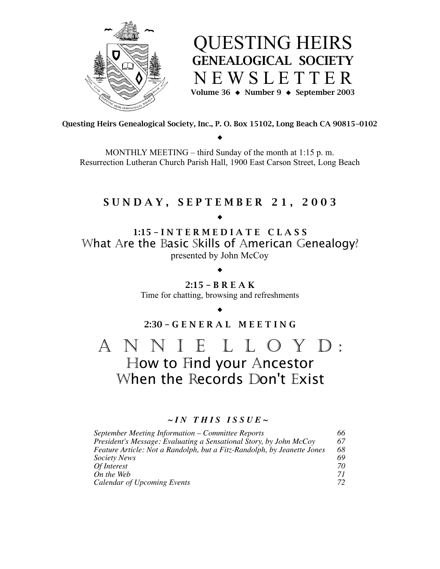

QUESTING HEIRS GENEALOGICAL SOCIETY N E W S L E T T E R Volume 36  $\leftrightarrow$  Number 9  $\leftrightarrow$  September 2003

Questing Heirs Genealogical Society, Inc., P. O. Box 15102, Long Beach CA 90815-0102

 $\blacklozenge$ 

MONTHLY MEETING – third Sunday of the month at 1:15 p. m. Resurrection Lutheran Church Parish Hall, 1900 East Carson Street, Long Beach

## S U N D A Y , S E P T E M B E R 2 1 , 2 0 0 3

 $\blacklozenge$ 

1:15 – I N T E R M E D I A T E C L A S S What Are the Basic Skills of American Genealogy? presented by John McCoy

> 2:15 – B R E A K Time for chatting, browsing and refreshments

 $\blacklozenge$ 

 $\blacklozenge$ 2:30 – G E N E R A L M E E T I N G

A N N I E L L O Y D : How to Find your Ancestor When the Records Don't Exist

## $\sim$ *IN THIS ISSUE*  $\sim$

| September Meeting Information – Committee Reports                       | 66 |
|-------------------------------------------------------------------------|----|
| President's Message: Evaluating a Sensational Story, by John McCoy      | 67 |
| Feature Article: Not a Randolph, but a Fitz-Randolph, by Jeanette Jones | 68 |
| <b>Society News</b>                                                     | 69 |
| Of Interest                                                             | 70 |
| On the Web                                                              | 71 |
| Calendar of Upcoming Events                                             | 72 |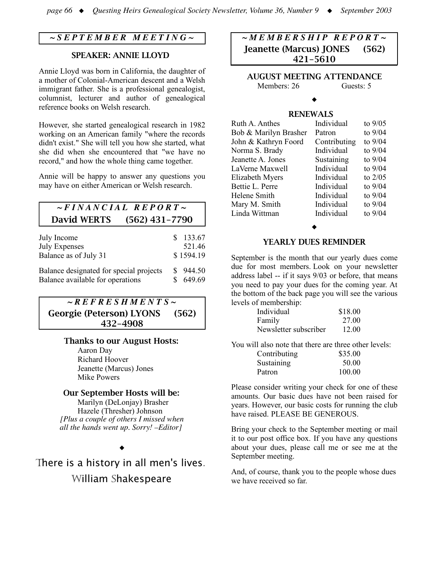## *~ S E P T E M B E R M E E T I N G ~*

### SPEAKER: ANNIE LLOYD

Annie Lloyd was born in California, the daughter of a mother of Colonial-American descent and a Welsh immigrant father. She is a professional genealogist, columnist, lecturer and author of genealogical reference books on Welsh research.

However, she started genealogical research in 1982 working on an American family "where the records didn't exist." She will tell you how she started, what she did when she encountered that "we have no record," and how the whole thing came together.

Annie will be happy to answer any questions you may have on either American or Welsh research.

## *~ F I N A N C I A L R E P O R T ~* David WERTS (562) 431-7790

| July Income                             | $\mathbf{s}$ | 133.67    |
|-----------------------------------------|--------------|-----------|
| <b>July Expenses</b>                    |              | 521.46    |
| Balance as of July 31                   |              | \$1594.19 |
| Balance designated for special projects |              | \$944.50  |
| Balance available for operations        |              | 649.69    |

*~ R E F R E S H M E N T S ~* Georgie (Peterson) LYONS (562) 432-4908

### Thanks to our August Hosts:

Aaron Day Richard Hoover Jeanette (Marcus) Jones Mike Powers

### Our September Hosts will be:

Marilyn (DeLonjay) Brasher Hazele (Thresher) Johnson *[Plus a couple of others I missed when all the hands went up. Sorry! –Editor]*

# There is a history in all men's lives. William Shakespeare

 $\blacklozenge$ 

*~ M E M B E R S H I P R E P O R T ~* Jeanette (Marcus) JONES (562) 421-5610

AUGUST MEETING ATTENDANCE Members: 26 Guests: 5

#### $\blacklozenge$

### RENEWALS

| Ruth A. Anthes        | Individual   | to $9/05$ |
|-----------------------|--------------|-----------|
| Bob & Marilyn Brasher | Patron       | to 9/04   |
| John & Kathryn Foord  | Contributing | to $9/04$ |
| Norma S. Brady        | Individual   | to 9/04   |
| Jeanette A. Jones     | Sustaining   | to 9/04   |
| LaVerne Maxwell       | Individual   | to $9/04$ |
| Elizabeth Myers       | Individual   | to $2/05$ |
| Bettie L. Perre       | Individual   | to $9/04$ |
| Helene Smith          | Individual   | to $9/04$ |
| Mary M. Smith         | Individual   | to $9/04$ |
| Linda Wittman         | Individual   | to $9/04$ |
|                       |              |           |

 $\blacklozenge$ 

#### YEARLY DUES REMINDER

September is the month that our yearly dues come due for most members. Look on your newsletter address label -- if it says 9/03 or before, that means you need to pay your dues for the coming year. At the bottom of the back page you will see the various levels of membership:

| Individual            | \$18.00 |
|-----------------------|---------|
| Family                | 27.00   |
| Newsletter subscriber | 12.00   |

You will also note that there are three other levels:

| Contributing | \$35.00 |
|--------------|---------|
| Sustaining   | 50.00   |
| Patron       | 100.00  |

Please consider writing your check for one of these amounts. Our basic dues have not been raised for years. However, our basic costs for running the club have raised. PLEASE BE GENEROUS.

Bring your check to the September meeting or mail it to our post office box. If you have any questions about your dues, please call me or see me at the September meeting.

And, of course, thank you to the people whose dues we have received so far.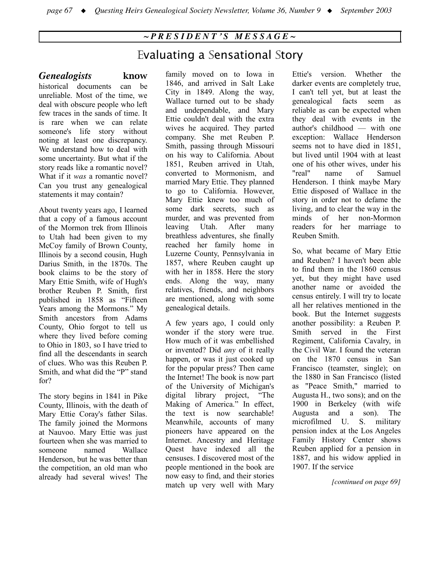## *~ P R E S I D E N T ' S M E S S A G E ~*

## Evaluating a Sensational Story

## *Genealogists* know

historical documents can be

unreliable. Most of the time, we deal with obscure people who left few traces in the sands of time. It is rare when we can relate someone's life story without noting at least one discrepancy. We understand how to deal with some uncertainty. But what if the story reads like a romantic novel? What if it *was* a romantic novel? Can you trust any genealogical statements it may contain?

About twenty years ago, I learned that a copy of a famous account of the Mormon trek from Illinois to Utah had been given to my McCoy family of Brown County, Illinois by a second cousin, Hugh Darius Smith, in the 1870s. The book claims to be the story of Mary Ettie Smith, wife of Hugh's brother Reuben P. Smith, first published in 1858 as "Fifteen Years among the Mormons*.*" My Smith ancestors from Adams County, Ohio forgot to tell us where they lived before coming to Ohio in 1803, so I have tried to find all the descendants in search of clues. Who was this Reuben P. Smith, and what did the "P" stand for?

The story begins in 1841 in Pike County, Illinois, with the death of Mary Ettie Coray's father Silas. The family joined the Mormons at Nauvoo. Mary Ettie was just fourteen when she was married to someone named Wallace Henderson, but he was better than the competition, an old man who already had several wives! The family moved on to Iowa in 1846, and arrived in Salt Lake City in 1849. Along the way, Wallace turned out to be shady and undependable, and Mary Ettie couldn't deal with the extra wives he acquired. They parted company. She met Reuben P. Smith, passing through Missouri on his way to California. About 1851, Reuben arrived in Utah, converted to Mormonism, and married Mary Ettie. They planned to go to California. However, Mary Ettie knew too much of some dark secrets, such as murder, and was prevented from leaving Utah. After many breathless adventures, she finally reached her family home in Luzerne County, Pennsylvania in 1857, where Reuben caught up with her in 1858. Here the story ends. Along the way, many relatives, friends, and neighbors are mentioned, along with some genealogical details.

A few years ago, I could only wonder if the story were true. How much of it was embellished or invented? Did *any* of it really happen, or was it just cooked up for the popular press? Then came the Internet! The book is now part of the University of Michigan's digital library project, "The Making of America." In effect, the text is now searchable! Meanwhile, accounts of many pioneers have appeared on the Internet. Ancestry and Heritage Quest have indexed all the censuses. I discovered most of the people mentioned in the book are now easy to find, and their stories match up very well with Mary

Ettie's version. Whether the darker events are completely true, I can't tell yet, but at least the genealogical facts seem as reliable as can be expected when they deal with events in the author's childhood — with one exception: Wallace Henderson seems not to have died in 1851, but lived until 1904 with at least one of his other wives, under his "real" name of Samuel Henderson. I think maybe Mary Ettie disposed of Wallace in the story in order not to defame the living, and to clear the way in the minds of her non-Mormon readers for her marriage to Reuben Smith.

So, what became of Mary Ettie and Reuben? I haven't been able to find them in the 1860 census yet, but they might have used another name or avoided the census entirely. I will try to locate all her relatives mentioned in the book. But the Internet suggests another possibility: a Reuben P. Smith served in the First Regiment, California Cavalry, in the Civil War. I found the veteran on the 1870 census in San Francisco (teamster, single); on the 1880 in San Francisco (listed as "Peace Smith," married to Augusta H., two sons); and on the 1900 in Berkeley (with wife Augusta and a son). The microfilmed U. S. military pension index at the Los Angeles Family History Center shows Reuben applied for a pension in 1887, and his widow applied in 1907. If the service

*[continued on page 69]*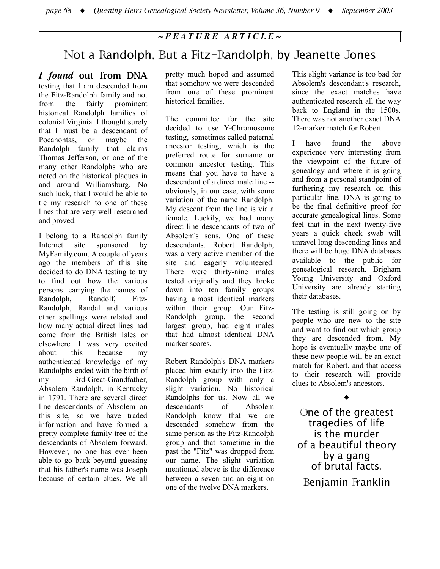## *~ F E A T U R E A R T I C L E ~*

## Not a Randolph, But a Fitz-Randolph, by Jeanette Jones

*I found* out from DNA testing that I am descended from the Fitz-Randolph family and not from the fairly prominent historical Randolph families of colonial Virginia. I thought surely that I must be a descendant of Pocahontas, or maybe the Randolph family that claims Thomas Jefferson, or one of the many other Randolphs who are noted on the historical plaques in and around Williamsburg. No such luck, that I would be able to tie my research to one of these lines that are very well researched and proved.

I belong to a Randolph family Internet site sponsored by MyFamily.com. A couple of years ago the members of this site decided to do DNA testing to try to find out how the various persons carrying the names of Randolph, Randolf, Fitz-Randolph, Randal and various other spellings were related and how many actual direct lines had come from the British Isles or elsewhere. I was very excited about this because my authenticated knowledge of my Randolphs ended with the birth of my 3rd-Great-Grandfather, Absolem Randolph, in Kentucky in 1791. There are several direct line descendants of Absolem on this site, so we have traded information and have formed a pretty complete family tree of the descendants of Absolem forward. However, no one has ever been able to go back beyond guessing that his father's name was Joseph because of certain clues. We all

pretty much hoped and assumed that somehow we were descended from one of these prominent historical families.

The committee for the site decided to use Y-Chromosome testing, sometimes called paternal ancestor testing, which is the preferred route for surname or common ancestor testing. This means that you have to have a descendant of a direct male line - obviously, in our case, with some variation of the name Randolph. My descent from the line is via a female. Luckily, we had many direct line descendants of two of Absolem's sons. One of these descendants, Robert Randolph, was a very active member of the site and eagerly volunteered. There were thirty-nine males tested originally and they broke down into ten family groups having almost identical markers within their group. Our Fitz-Randolph group, the second largest group, had eight males that had almost identical DNA marker scores.

Robert Randolph's DNA markers placed him exactly into the Fitz-Randolph group with only a slight variation. No historical Randolphs for us. Now all we descendants of Absolem Randolph know that we are descended somehow from the same person as the Fitz-Randolph group and that sometime in the past the "Fitz" was dropped from our name. The slight variation mentioned above is the difference between a seven and an eight on one of the twelve DNA markers.

This slight variance is too bad for Absolem's descendant's research, since the exact matches have authenticated research all the way back to England in the 1500s. There was not another exact DNA 12-marker match for Robert.

I have found the above experience very interesting from the viewpoint of the future of genealogy and where it is going and from a personal standpoint of furthering my research on this particular line. DNA is going to be the final definitive proof for accurate genealogical lines. Some feel that in the next twenty-five years a quick cheek swab will unravel long descending lines and there will be huge DNA databases available to the public for genealogical research. Brigham Young University and Oxford University are already starting their databases.

The testing is still going on by people who are new to the site and want to find out which group they are descended from. My hope is eventually maybe one of these new people will be an exact match for Robert, and that access to their research will provide clues to Absolem's ancestors.

One of the greatest tragedies of life is the murder of a beautiful theory by a gang of brutal facts. Benjamin Franklin

 $\blacklozenge$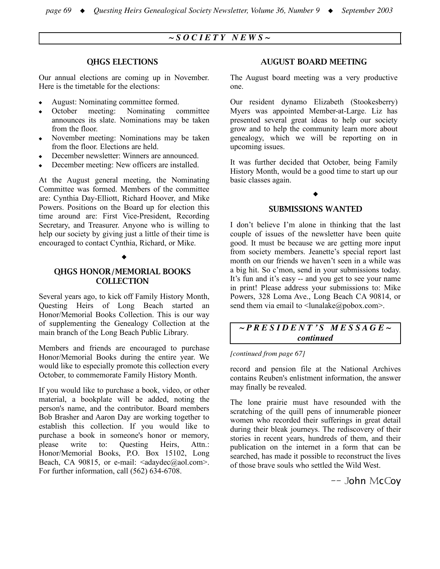## *~ S O C I E T Y N E W S ~*

#### QHGS ELECTIONS

Our annual elections are coming up in November. Here is the timetable for the elections:

- ! August: Nominating committee formed.
- October meeting: Nominating committee announces its slate. Nominations may be taken from the floor.
- ! November meeting: Nominations may be taken from the floor. Elections are held.
- ! December newsletter: Winners are announced.
- ! December meeting: New officers are installed.

At the August general meeting, the Nominating Committee was formed. Members of the committee are: Cynthia Day-Elliott, Richard Hoover, and Mike Powers. Positions on the Board up for election this time around are: First Vice-President, Recording Secretary, and Treasurer. Anyone who is willing to help our society by giving just a little of their time is encouraged to contact Cynthia, Richard, or Mike.

#### $\blacklozenge$

#### QHGS HONOR/MEMORIAL BOOKS **COLLECTION**

Several years ago, to kick off Family History Month, Questing Heirs of Long Beach started an Honor/Memorial Books Collection. This is our way of supplementing the Genealogy Collection at the main branch of the Long Beach Public Library.

Members and friends are encouraged to purchase Honor/Memorial Books during the entire year. We would like to especially promote this collection every October, to commemorate Family History Month.

If you would like to purchase a book, video, or other material, a bookplate will be added, noting the person's name, and the contributor. Board members Bob Brasher and Aaron Day are working together to establish this collection. If you would like to purchase a book in someone's honor or memory, please write to: Questing Heirs, Attn.: Honor/Memorial Books, P.O. Box 15102, Long Beach, CA 90815, or e-mail:  $\langle \text{adaydec}(\text{a} \text{aol.com} \rangle)$ . For further information, call (562) 634-6708.

#### AUGUST BOARD MEETING

The August board meeting was a very productive one.

Our resident dynamo Elizabeth (Stookesberry) Myers was appointed Member-at-Large. Liz has presented several great ideas to help our society grow and to help the community learn more about genealogy, which we will be reporting on in upcoming issues.

It was further decided that October, being Family History Month, would be a good time to start up our basic classes again.

#### $\blacklozenge$

#### SUBMISSIONS WANTED

I don't believe I'm alone in thinking that the last couple of issues of the newsletter have been quite good. It must be because we are getting more input from society members. Jeanette's special report last month on our friends we haven't seen in a while was a big hit. So c'mon, send in your submissions today. It's fun and it's easy -- and you get to see your name in print! Please address your submissions to: Mike Powers, 328 Loma Ave., Long Beach CA 90814, or send them via email to  $\langle \text{lunalake}(\vec{a}) \text{pobo} \rangle$ .

## *~ P R E S I D E N T ' S M E S S A G E ~ continued*

#### *[continued from page 67]*

record and pension file at the National Archives contains Reuben's enlistment information, the answer may finally be revealed.

The lone prairie must have resounded with the scratching of the quill pens of innumerable pioneer women who recorded their sufferings in great detail during their bleak journeys. The rediscovery of their stories in recent years, hundreds of them, and their publication on the internet in a form that can be searched, has made it possible to reconstruct the lives of those brave souls who settled the Wild West.

-- John McCoy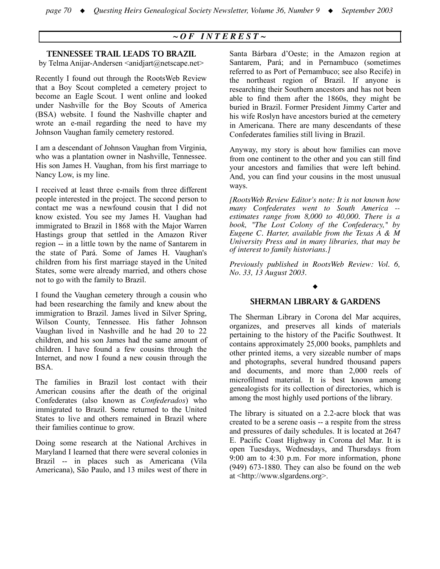## *~ O F I N T E R E S T ~*

#### TENNESSEE TRAIL LEADS TO BRAZIL

by Telma Anijar-Andersen <anidjart@netscape.net>

Recently I found out through the RootsWeb Review that a Boy Scout completed a cemetery project to become an Eagle Scout. I went online and looked under Nashville for the Boy Scouts of America (BSA) website. I found the Nashville chapter and wrote an e-mail regarding the need to have my Johnson Vaughan family cemetery restored.

I am a descendant of Johnson Vaughan from Virginia, who was a plantation owner in Nashville, Tennessee. His son James H. Vaughan, from his first marriage to Nancy Low, is my line.

I received at least three e-mails from three different people interested in the project. The second person to contact me was a newfound cousin that I did not know existed. You see my James H. Vaughan had immigrated to Brazil in 1868 with the Major Warren Hastings group that settled in the Amazon River region -- in a little town by the name of Santarem in the state of Pará. Some of James H. Vaughan's children from his first marriage stayed in the United States, some were already married, and others chose not to go with the family to Brazil.

I found the Vaughan cemetery through a cousin who had been researching the family and knew about the immigration to Brazil. James lived in Silver Spring, Wilson County, Tennessee. His father Johnson Vaughan lived in Nashville and he had 20 to 22 children, and his son James had the same amount of children. I have found a few cousins through the Internet, and now I found a new cousin through the BSA.

The families in Brazil lost contact with their American cousins after the death of the original Confederates (also known as *Confederados*) who immigrated to Brazil. Some returned to the United States to live and others remained in Brazil where their families continue to grow.

Doing some research at the National Archives in Maryland I learned that there were several colonies in Brazil -- in places such as Americana (Vila Americana), São Paulo, and 13 miles west of there in

Santa Bárbara d'Oeste; in the Amazon region at Santarem, Pará; and in Pernambuco (sometimes referred to as Port of Pernambuco; see also Recife) in the northeast region of Brazil. If anyone is researching their Southern ancestors and has not been able to find them after the 1860s, they might be buried in Brazil. Former President Jimmy Carter and his wife Roslyn have ancestors buried at the cemetery in Americana. There are many descendants of these Confederates families still living in Brazil.

Anyway, my story is about how families can move from one continent to the other and you can still find your ancestors and families that were left behind. And, you can find your cousins in the most unusual ways.

*[RootsWeb Review Editor's note: It is not known how many Confederates went to South America - estimates range from 8,000 to 40,000. There is a book, "The Lost Colony of the Confederacy," by Eugene C. Harter, available from the Texas A & M University Press and in many libraries, that may be of interest to family historians.]*

*Previously published in RootsWeb Review: Vol. 6, No. 33, 13 August 2003.*

#### $\blacklozenge$

#### SHERMAN LIBRARY & GARDENS

The Sherman Library in Corona del Mar acquires, organizes, and preserves all kinds of materials pertaining to the history of the Pacific Southwest. It contains approximately 25,000 books, pamphlets and other printed items, a very sizeable number of maps and photographs, several hundred thousand papers and documents, and more than 2,000 reels of microfilmed material. It is best known among genealogists for its collection of directories, which is among the most highly used portions of the library.

The library is situated on a 2.2-acre block that was created to be a serene oasis -- a respite from the stress and pressures of daily schedules. It is located at 2647 E. Pacific Coast Highway in Corona del Mar. It is open Tuesdays, Wednesdays, and Thursdays from 9:00 am to 4:30 p.m. For more information, phone (949) 673-1880. They can also be found on the web at <http://www.slgardens.org>.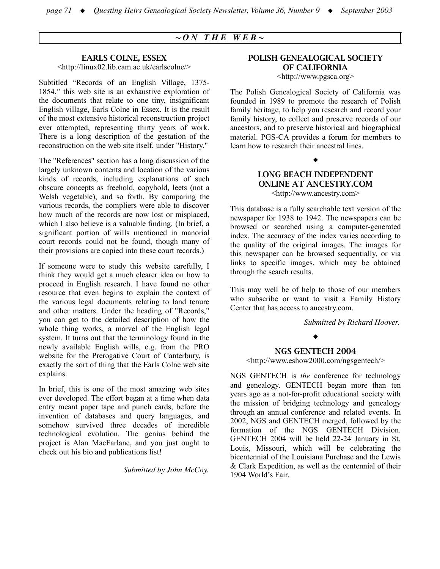## *~ O N T H E W E B ~*

#### EARLS COLNE, ESSEX

<http://linux02.lib.cam.ac.uk/earlscolne/>

Subtitled "Records of an English Village, 1375- 1854," this web site is an exhaustive exploration of the documents that relate to one tiny, insignificant English village, Earls Colne in Essex. It is the result of the most extensive historical reconstruction project ever attempted, representing thirty years of work. There is a long description of the gestation of the reconstruction on the web site itself, under "History."

The "References" section has a long discussion of the largely unknown contents and location of the various kinds of records, including explanations of such obscure concepts as freehold, copyhold, leets (not a Welsh vegetable), and so forth. By comparing the various records, the compliers were able to discover how much of the records are now lost or misplaced, which I also believe is a valuable finding. (In brief, a significant portion of wills mentioned in manorial court records could not be found, though many of their provisions are copied into these court records.)

If someone were to study this website carefully, I think they would get a much clearer idea on how to proceed in English research. I have found no other resource that even begins to explain the context of the various legal documents relating to land tenure and other matters. Under the heading of "Records," you can get to the detailed description of how the whole thing works, a marvel of the English legal system. It turns out that the terminology found in the newly available English wills, e.g. from the PRO website for the Prerogative Court of Canterbury, is exactly the sort of thing that the Earls Colne web site explains.

In brief, this is one of the most amazing web sites ever developed. The effort began at a time when data entry meant paper tape and punch cards, before the invention of databases and query languages, and somehow survived three decades of incredible technological evolution. The genius behind the project is Alan MacFarlane, and you just ought to check out his bio and publications list!

*Submitted by John McCoy.*

#### POLISH GENEALOGICAL SOCIETY OF CALIFORNIA <http://www.pgsca.org>

The Polish Genealogical Society of California was founded in 1989 to promote the research of Polish family heritage, to help you research and record your family history, to collect and preserve records of our ancestors, and to preserve historical and biographical material. PGS-CA provides a forum for members to learn how to research their ancestral lines.

## $\blacklozenge$ LONG BEACH INDEPENDENT

ONLINE AT ANCESTRY.COM <http://www.ancestry.com>

This database is a fully searchable text version of the newspaper for 1938 to 1942. The newspapers can be browsed or searched using a computer-generated index. The accuracy of the index varies according to the quality of the original images. The images for this newspaper can be browsed sequentially, or via links to specific images, which may be obtained through the search results.

This may well be of help to those of our members who subscribe or want to visit a Family History Center that has access to ancestry.com.

*Submitted by Richard Hoover.*

#### $\bullet$

#### NGS GENTECH 2004

<http://www.eshow2000.com/ngsgentech/>

NGS GENTECH is *the* conference for technology and genealogy. GENTECH began more than ten years ago as a not-for-profit educational society with the mission of bridging technology and genealogy through an annual conference and related events. In 2002, NGS and GENTECH merged, followed by the formation of the NGS GENTECH Division. GENTECH 2004 will be held 22-24 January in St. Louis, Missouri, which will be celebrating the bicentennial of the Louisiana Purchase and the Lewis & Clark Expedition, as well as the centennial of their 1904 World's Fair.